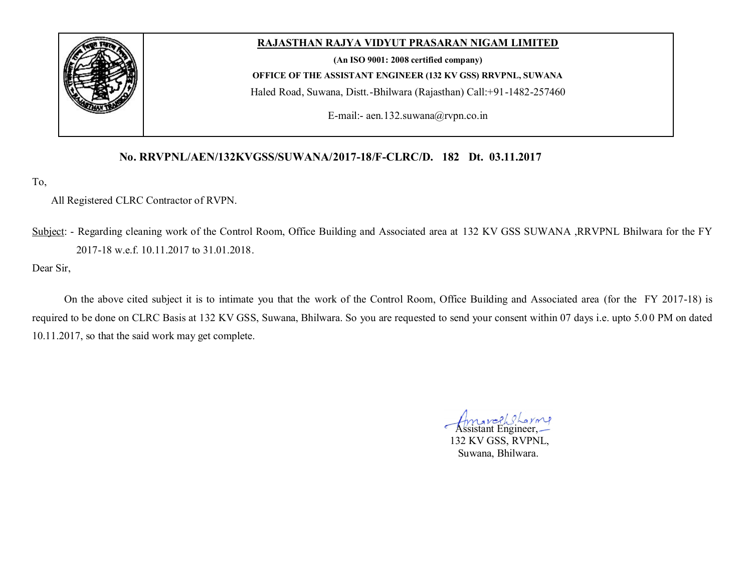

## **RAJASTHAN RAJYA VIDYUT PRASARAN NIGAM LIMITED**

**(An ISO 9001: 2008 certified company) OFFICE OF THE ASSISTANT ENGINEER (132 KV GSS) RRVPNL, SUWANA** Haled Road, Suwana, Distt.-Bhilwara (Rajasthan) Call:+91-1482-257460

E-mail:- aen.132.suwana@rvpn.co.in

### **No. RRVPNL/AEN/132KVGSS/SUWANA/2017-18/F-CLRC/D. 182 Dt. 03.11.2017**

To,

#### All Registered CLRC Contractor of RVPN.

Subject: - Regarding cleaning work of the Control Room, Office Building and Associated area at 132 KV GSS SUWANA ,RRVPNL Bhilwara for the FY 2017-18 w.e.f. 10.11.2017 to 31.01.2018.

Dear Sir,

On the above cited subject it is to intimate you that the work of the Control Room, Office Building and Associated area (for the FY 2017-18) is required to be done on CLRC Basis at 132 KV GSS, Suwana, Bhilwara. So you are requested to send your consent within 07 days i.e. upto 5.0 0 PM on dated 10.11.2017, so that the said work may get complete.

**Assistant Engineer,**  132 KV GSS, RVPNL, Suwana, Bhilwara.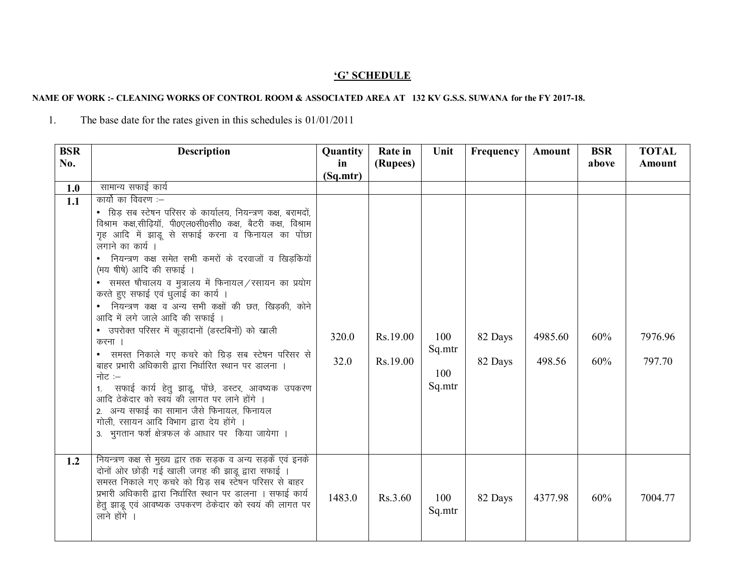# 'G' SCHEDULE

#### NAME OF WORK :- CLEANING WORKS OF CONTROL ROOM & ASSOCIATED AREA AT 132 KV G.S.S. SUWANA for the FY 2017-18.

The base date for the rates given in this schedules is  $01/01/2011$  $1.$ 

| <b>BSR</b><br>No. | <b>Description</b>                                                                                                                                                                                                                                                                                                                                                                                                                                                                                                                                                                                                                                                                                                                                                                                                                                                                                                                                         | <b>Quantity</b><br>in | Rate in<br>(Rupees)  | Unit                           | Frequency          | Amount            | <b>BSR</b><br>above | <b>TOTAL</b><br><b>Amount</b> |
|-------------------|------------------------------------------------------------------------------------------------------------------------------------------------------------------------------------------------------------------------------------------------------------------------------------------------------------------------------------------------------------------------------------------------------------------------------------------------------------------------------------------------------------------------------------------------------------------------------------------------------------------------------------------------------------------------------------------------------------------------------------------------------------------------------------------------------------------------------------------------------------------------------------------------------------------------------------------------------------|-----------------------|----------------------|--------------------------------|--------------------|-------------------|---------------------|-------------------------------|
|                   |                                                                                                                                                                                                                                                                                                                                                                                                                                                                                                                                                                                                                                                                                                                                                                                                                                                                                                                                                            | (Sq.mtr)              |                      |                                |                    |                   |                     |                               |
| 1.0               | सामान्य सफाई कार्य                                                                                                                                                                                                                                                                                                                                                                                                                                                                                                                                                                                                                                                                                                                                                                                                                                                                                                                                         |                       |                      |                                |                    |                   |                     |                               |
| 1.1               | कार्यो का विवरण :—<br>• ग्रिड़ सब स्टेषन परिसर के कार्यालय, नियन्त्रण कक्ष, बरामदों,<br>विश्राम कक्ष,सीढियॉ, पी0एल0सी0सी0 कक्ष, बैटरी कक्ष, विश्राम<br>गृह आदि में झाडू से सफाई करना व फिनायल का पोंछा<br>लगाने का कार्य ।<br>• नियन्त्रण कक्ष समेत सभी कमरों के दरवाजों व खिड़कियों<br>(मय षीषे) आदि की सफाई ।<br>• समस्त षौचालय व मुत्रालय में फिनायल / रसायन का प्रयोग<br>करते हुए सफाई एवं धुलाई का कार्य ।<br>• नियन्त्रण कक्ष व अन्य सभी कक्षों की छत, खिड़की, कोने<br>आदि में लगे जाले आदि की सफाई ।<br>• उपरोक्त परिसर में कूड़ादानों (डस्टबिनों) को खाली<br>करना<br>• समस्त निकाले गए कचरे को ग्रिड सब स्टेषन परिसर से<br>बाहर प्रभारी अधिकारी द्वारा निर्धारित स्थान पर डालना ।<br>नोट $:=$<br>1. सफाई कार्य हेतु झाडू, पोंछे, डस्टर, आवष्यक उपकरण<br>आदि ठेकेदार को स्वयं की लागत पर लाने होंगे ।<br>2. अन्य सफाई का सामान जैसे फिनायल, फिनायल<br>गोली, रसायन आदि विभाग द्वारा देय होंगे ।<br>3. भुगतान फर्श क्षेत्रफल के आधार पर किया जायेगा । | 320.0<br>32.0         | Rs.19.00<br>Rs.19.00 | 100<br>Sq.mtr<br>100<br>Sq.mtr | 82 Days<br>82 Days | 4985.60<br>498.56 | 60%<br>60%          | 7976.96<br>797.70             |
| 1.2               | नियन्त्रण कक्ष से मुख्य द्वार तक सड़क व अन्य सड़कें एवं इनके<br>दोनों ओर छोड़ी गई खाली जगह की झाडू द्वारा सफाई ।<br>समस्त निकाले गए कचरे को ग्रिड़ सब स्टेषन परिसर से बाहर<br>प्रभारी अधिकारी द्वारा निर्धारित स्थान पर डालना । सफाई कार्य<br>हेतु झाडू एवं आवष्यक उपकरण ठेकेदार को स्वयं की लागत पर<br>लाने होंगे ।                                                                                                                                                                                                                                                                                                                                                                                                                                                                                                                                                                                                                                       | 1483.0                | Rs.3.60              | 100<br>Sq.mtr                  | 82 Days            | 4377.98           | 60%                 | 7004.77                       |